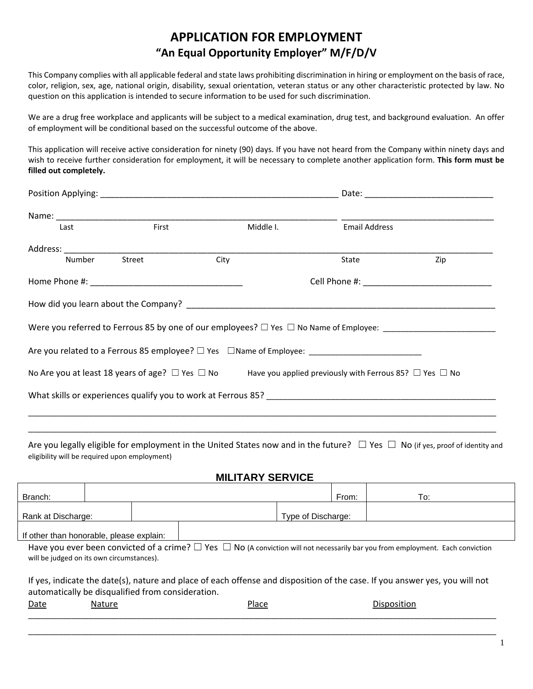# **APPLICATION FOR EMPLOYMENT "An Equal Opportunity Employer" M/F/D/V**

This Company complies with all applicable federal and state laws prohibiting discrimination in hiring or employment on the basis of race, color, religion, sex, age, national origin, disability, sexual orientation, veteran status or any other characteristic protected by law. No question on this application is intended to secure information to be used for such discrimination.

We are a drug free workplace and applicants will be subject to a medical examination, drug test, and background evaluation. An offer of employment will be conditional based on the successful outcome of the above.

This application will receive active consideration for ninety (90) days. If you have not heard from the Company within ninety days and wish to receive further consideration for employment, it will be necessary to complete another application form. **This form must be filled out completely.**

| Last          | First |      | Middle I. | <b>Email Address</b>                                                                                                        |                                                                                                                |  |  |
|---------------|-------|------|-----------|-----------------------------------------------------------------------------------------------------------------------------|----------------------------------------------------------------------------------------------------------------|--|--|
|               |       |      |           |                                                                                                                             |                                                                                                                |  |  |
| Number Street |       | City |           | State                                                                                                                       | Zip                                                                                                            |  |  |
|               |       |      |           |                                                                                                                             |                                                                                                                |  |  |
|               |       |      |           |                                                                                                                             |                                                                                                                |  |  |
|               |       |      |           |                                                                                                                             | Were you referred to Ferrous 85 by one of our employees? □ Yes □ No Name of Employee: ________________________ |  |  |
|               |       |      |           | Are you related to a Ferrous 85 employee? $\square$ Yes $\square$ Name of Employee:                                         |                                                                                                                |  |  |
|               |       |      |           | No Are you at least 18 years of age? $\Box$ Yes $\Box$ No Have you applied previously with Ferrous 85? $\Box$ Yes $\Box$ No |                                                                                                                |  |  |
|               |       |      |           |                                                                                                                             |                                                                                                                |  |  |
|               |       |      |           |                                                                                                                             |                                                                                                                |  |  |

Are you legally eligible for employment in the United States now and in the future?  $\Box$  Yes  $\Box$  No (if yes, proof of identity and eligibility will be required upon employment)

\_\_\_\_\_\_\_\_\_\_\_\_\_\_\_\_\_\_\_\_\_\_\_\_\_\_\_\_\_\_\_\_\_\_\_\_\_\_\_\_\_\_\_\_\_\_\_\_\_\_\_\_\_\_\_\_\_\_\_\_\_\_\_\_\_\_\_\_\_\_\_\_\_\_\_\_\_\_\_\_\_\_\_\_\_\_\_\_\_\_\_\_\_\_\_\_\_\_\_\_\_\_\_\_\_\_\_\_

### **MILITARY SERVICE**

| Branch:                                                                                                                                                                                |        |       |  | From:              | To:         |  |  |  |
|----------------------------------------------------------------------------------------------------------------------------------------------------------------------------------------|--------|-------|--|--------------------|-------------|--|--|--|
| Rank at Discharge:                                                                                                                                                                     |        |       |  | Type of Discharge: |             |  |  |  |
| If other than honorable, please explain:                                                                                                                                               |        |       |  |                    |             |  |  |  |
| Have you ever been convicted of a crime? $\Box$ Yes $\Box$ No (A conviction will not necessarily bar you from employment. Each conviction<br>will be judged on its own circumstances). |        |       |  |                    |             |  |  |  |
| If yes, indicate the date(s), nature and place of each offense and disposition of the case. If you answer yes, you will not<br>automatically be disqualified from consideration.       |        |       |  |                    |             |  |  |  |
| Date                                                                                                                                                                                   | Nature | Place |  |                    | Disposition |  |  |  |
|                                                                                                                                                                                        |        |       |  |                    |             |  |  |  |

\_\_\_\_\_\_\_\_\_\_\_\_\_\_\_\_\_\_\_\_\_\_\_\_\_\_\_\_\_\_\_\_\_\_\_\_\_\_\_\_\_\_\_\_\_\_\_\_\_\_\_\_\_\_\_\_\_\_\_\_\_\_\_\_\_\_\_\_\_\_\_\_\_\_\_\_\_\_\_\_\_\_\_\_\_\_\_\_\_\_\_\_\_\_\_\_\_\_\_\_\_\_\_\_\_\_\_\_